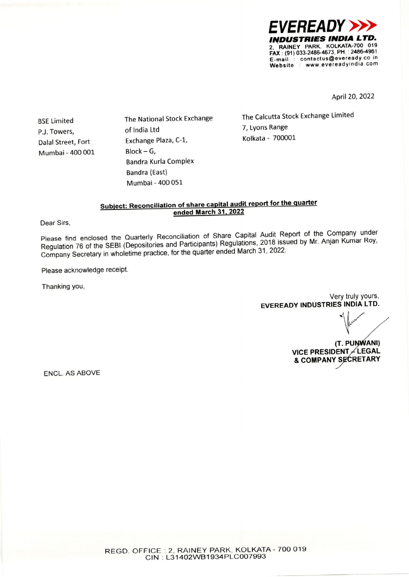

April 20, 2022

**BSE Limited** P.J. Towers, Dalal Street, Fort Mumbai - 400 001 The National Stock Exchange of India Ltd Exchange Plaza, C-1,  $Block - G,$ Bandra Kurla Complex **Bandra (East)** Mumbai - 400 051

The Calcutta Stock Exchange Limited 7, Lyons Range Kolkata - 700001

### Subject: Reconciliation of share capital audit report for the quarter ended March 31, 2022

Dear Sirs,

Please find enclosed the Quarterly Reconciliation of Share Capital Audit Report of the Company under Regulation 76 of the SEBI (Depositories and Participants) Regulations, 2018 issued by Mr. Anjan Kumar Roy, Company Secretary in wholetime practice, for the quarter ended March 31, 2022.

Please acknowledge receipt.

Thanking you,

Very truly yours, **EVEREADY INDUSTRIES INDIA LTD.** 

(T. PUNWANI) VICE PRESIDENT / LEGAL & COMPANY SECRETARY

**ENCL. AS ABOVE**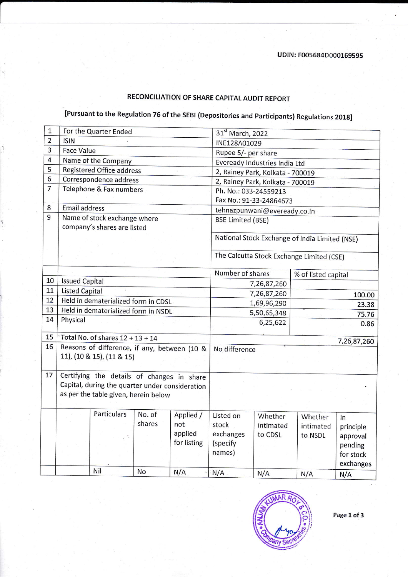## RECONCILIATION OF SHARE CAPITAL AUDIT REPORT

# [Pursuant to the Regulation 76 of the sEBr (Depositories and participants) Regulations 2018]

| $\mathbf{1}$   | For the Quarter Ended                           |                                      |        |                                                | 31st March, 2022                 |                                  |                                           |             |
|----------------|-------------------------------------------------|--------------------------------------|--------|------------------------------------------------|----------------------------------|----------------------------------|-------------------------------------------|-------------|
| $\overline{2}$ | <b>ISIN</b>                                     |                                      |        | INE128A01029                                   |                                  |                                  |                                           |             |
| $\overline{3}$ | <b>Face Value</b>                               |                                      |        | Rupee 5/- per share                            |                                  |                                  |                                           |             |
| 4              |                                                 | Name of the Company                  |        |                                                | Eveready Industries India Ltd    |                                  |                                           |             |
| 5              |                                                 | <b>Registered Office address</b>     |        |                                                |                                  | 2, Rainey Park, Kolkata - 700019 |                                           |             |
| 6              | Correspondence address                          |                                      |        |                                                | 2, Rainey Park, Kolkata - 700019 |                                  |                                           |             |
| $\overline{7}$ | Telephone & Fax numbers                         |                                      |        | Ph. No.: 033-24559213                          |                                  |                                  |                                           |             |
|                |                                                 |                                      |        |                                                | Fax No.: 91-33-24864673          |                                  |                                           |             |
| 8              | <b>Email address</b>                            |                                      |        |                                                | tehnazpunwani@eveready.co.in     |                                  |                                           |             |
| 9              |                                                 | Name of stock exchange where         |        |                                                | <b>BSE Limited (BSE)</b>         |                                  |                                           |             |
|                | company's shares are listed                     |                                      |        |                                                |                                  |                                  |                                           |             |
|                |                                                 |                                      |        | National Stock Exchange of India Limited (NSE) |                                  |                                  |                                           |             |
|                |                                                 |                                      |        |                                                |                                  |                                  |                                           |             |
|                |                                                 |                                      |        |                                                |                                  |                                  | The Calcutta Stock Exchange Limited (CSE) |             |
|                |                                                 |                                      |        | Number of shares<br>% of listed capital        |                                  |                                  |                                           |             |
| 10             | <b>Issued Capital</b>                           |                                      |        |                                                | 7,26,87,260                      |                                  |                                           |             |
| 11             | <b>Listed Capital</b>                           |                                      |        |                                                | 7,26,87,260<br>100.00            |                                  |                                           |             |
| 12             |                                                 | Held in dematerialized form in CDSL  |        |                                                | 1,69,96,290<br>23.38             |                                  |                                           |             |
| 13             |                                                 | Held in dematerialized form in NSDL  |        |                                                | 5,50,65,348<br>75.76             |                                  |                                           |             |
| 14             | Physical                                        |                                      |        |                                                | 6,25,622                         |                                  | 0.86                                      |             |
|                |                                                 |                                      |        |                                                |                                  |                                  |                                           |             |
| 15             | Total No. of shares $12 + 13 + 14$              |                                      |        |                                                |                                  |                                  |                                           | 7,26,87,260 |
| 16             | Reasons of difference, if any, between (10 &    |                                      |        | No difference                                  |                                  |                                  |                                           |             |
|                |                                                 | 11), (10 & 15), (11 & 15)            |        |                                                |                                  |                                  |                                           |             |
|                |                                                 |                                      |        |                                                |                                  |                                  |                                           |             |
| 17             | Certifying the details of changes in share      |                                      |        |                                                |                                  |                                  |                                           |             |
|                | Capital, during the quarter under consideration |                                      |        |                                                |                                  |                                  |                                           |             |
|                |                                                 | as per the table given, herein below |        |                                                |                                  |                                  |                                           |             |
|                |                                                 |                                      |        |                                                |                                  |                                  |                                           |             |
|                |                                                 | Particulars                          | No. of | Applied /                                      | Listed on                        | Whether                          | Whether                                   | In          |
|                |                                                 |                                      | shares | not                                            | stock                            | intimated                        | intimated                                 | principle   |
|                |                                                 |                                      |        | applied                                        | exchanges                        | to CDSL                          | to NSDL                                   | approval    |
|                |                                                 |                                      |        | for listing                                    | (specify                         |                                  |                                           | pending     |
|                |                                                 |                                      |        |                                                | names)                           |                                  |                                           | for stock   |
|                |                                                 |                                      |        |                                                |                                  |                                  |                                           | exchanges   |
|                |                                                 | Nil                                  | No     | N/A                                            | N/A                              | N/A                              | N/A                                       | N/A         |



Page 1 of 3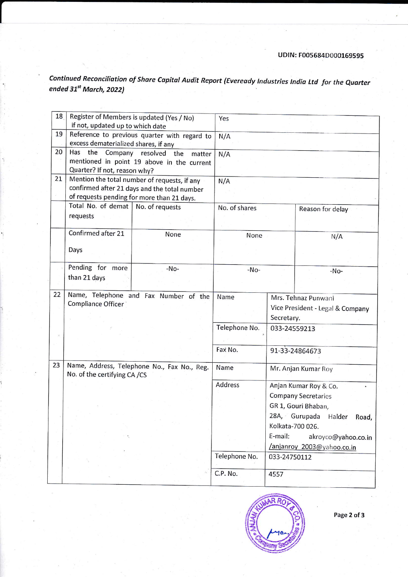Continued Reconciliation of Share Capital Audit Report (Eveready Industries India Ltd for the Quarter ended  $31^{st}$  March, 2022)

| 18 | Register of Members is updated (Yes / No)<br>if not, updated up to which date | Yes                                          |                                  |                               |                     |  |
|----|-------------------------------------------------------------------------------|----------------------------------------------|----------------------------------|-------------------------------|---------------------|--|
| 19 | Reference to previous quarter with regard to                                  | N/A                                          |                                  |                               |                     |  |
|    | excess dematerialized shares, if any                                          |                                              |                                  |                               |                     |  |
| 20 | Has the<br>Company                                                            | resolved<br>the<br>matter                    | N/A                              |                               |                     |  |
|    |                                                                               | mentioned in point 19 above in the current   |                                  |                               |                     |  |
|    | Quarter? If not, reason why?                                                  |                                              |                                  |                               |                     |  |
| 21 |                                                                               | Mention the total number of requests, if any | N/A                              |                               |                     |  |
|    |                                                                               | confirmed after 21 days and the total number |                                  |                               |                     |  |
|    | of requests pending for more than 21 days.                                    | No. of shares                                |                                  |                               |                     |  |
|    |                                                                               | Total No. of demat<br>No. of requests        |                                  |                               | Reason for delay    |  |
|    | requests                                                                      |                                              |                                  |                               |                     |  |
|    | Confirmed after 21                                                            | None                                         |                                  |                               |                     |  |
|    |                                                                               |                                              | None                             |                               | N/A                 |  |
|    | Days                                                                          |                                              |                                  |                               |                     |  |
|    |                                                                               |                                              |                                  |                               |                     |  |
|    | Pending for more<br>-No-                                                      |                                              | $-No-$                           |                               | $-No-$              |  |
|    | than 21 days                                                                  |                                              |                                  |                               |                     |  |
|    |                                                                               |                                              | Name                             |                               |                     |  |
| 22 | Compliance Officer                                                            | Name, Telephone and Fax Number of the        |                                  |                               | Mrs. Tehnaz Punwani |  |
|    |                                                                               |                                              | Vice President - Legal & Company |                               |                     |  |
|    |                                                                               |                                              |                                  | Secretary.                    |                     |  |
|    |                                                                               |                                              | Telephone No.                    | 033-24559213                  |                     |  |
|    |                                                                               |                                              |                                  |                               |                     |  |
|    |                                                                               |                                              |                                  |                               | 91-33-24864673      |  |
|    |                                                                               |                                              |                                  |                               |                     |  |
| 23 |                                                                               | Name, Address, Telephone No., Fax No., Reg.  |                                  |                               | Mr. Anjan Kumar Roy |  |
|    | No. of the certifying CA /CS                                                  |                                              |                                  |                               |                     |  |
|    |                                                                               | Address                                      |                                  | Anjan Kumar Roy & Co.         |                     |  |
|    |                                                                               |                                              |                                  | <b>Company Secretaries</b>    |                     |  |
|    |                                                                               |                                              |                                  | GR 1, Gouri Bhaban,           |                     |  |
|    |                                                                               |                                              |                                  | 28A, Gurupada Halder<br>Road, |                     |  |
|    |                                                                               |                                              | Kolkata-700 026.                 |                               |                     |  |
|    |                                                                               |                                              | E-mail:                          | akroyco@yahoo.co.in           |                     |  |
|    |                                                                               |                                              | /anjanroy 2003@yahoo.co.in       |                               |                     |  |
|    |                                                                               | Telephone No.                                | 033-24750112                     |                               |                     |  |
|    |                                                                               |                                              |                                  |                               |                     |  |
|    |                                                                               |                                              | C.P. No.                         | 4557                          |                     |  |



Page 2 of 3